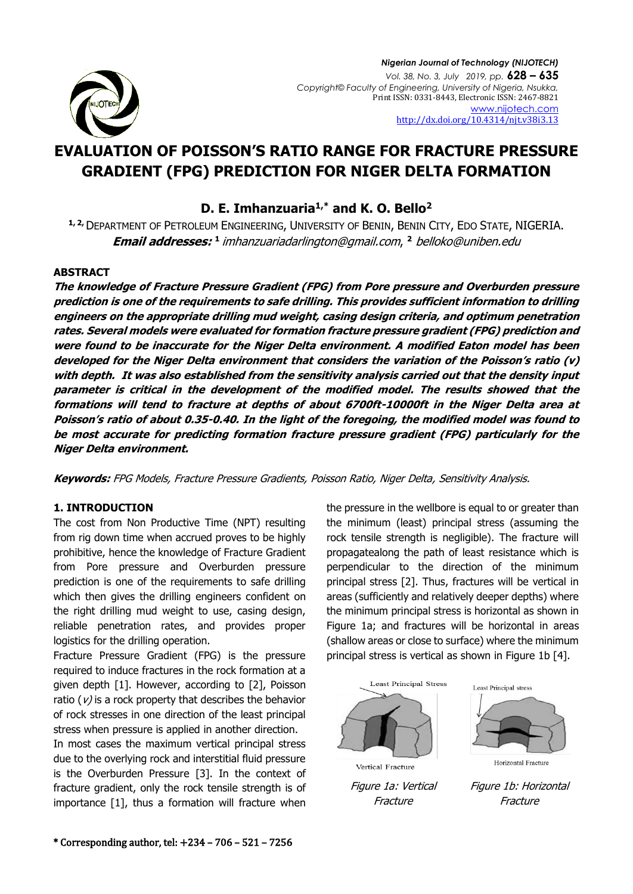

# **EVALUATION OF POISSON'S RATIO RANGE FOR FRACTURE PRESSURE GRADIENT (FPG) PREDICTION FOR NIGER DELTA FORMATION**

**D. E. Imhanzuaria1,\* and K. O. Bello<sup>2</sup>**

**1, 2,**DEPARTMENT OF PETROLEUM ENGINEERING, UNIVERSITY OF BENIN, BENIN CITY, EDO STATE, NIGERIA. **Email addresses: 1** [imhanzuariadarlington@gmail.com](mailto:1%20imhanzuariadarlington@gmail.com), **<sup>2</sup>** [belloko@uniben.edu](mailto:belloko@uniben.edu)

# **ABSTRACT**

**The knowledge of Fracture Pressure Gradient (FPG) from Pore pressure and Overburden pressure prediction is one of the requirements to safe drilling. This provides sufficient information to drilling engineers on the appropriate drilling mud weight, casing design criteria, and optimum penetration rates. Several models were evaluated for formation fracture pressure gradient (FPG) prediction and were found to be inaccurate for the Niger Delta environment. A modified Eaton model has been developed for the Niger Delta environment that considers the variation of the Poisson's ratio (v) with depth. It was also established from the sensitivity analysis carried out that the density input parameter is critical in the development of the modified model. The results showed that the formations will tend to fracture at depths of about 6700ft-10000ft in the Niger Delta area at Poisson's ratio of about 0.35-0.40. In the light of the foregoing, the modified model was found to be most accurate for predicting formation fracture pressure gradient (FPG) particularly for the Niger Delta environment.**

**Keywords:** FPG Models, Fracture Pressure Gradients, Poisson Ratio, Niger Delta, Sensitivity Analysis.

# **1. INTRODUCTION**

The cost from Non Productive Time (NPT) resulting from rig down time when accrued proves to be highly prohibitive, hence the knowledge of Fracture Gradient from Pore pressure and Overburden pressure prediction is one of the requirements to safe drilling which then gives the drilling engineers confident on the right drilling mud weight to use, casing design, reliable penetration rates, and provides proper logistics for the drilling operation.

Fracture Pressure Gradient (FPG) is the pressure required to induce fractures in the rock formation at a given depth [1]. However, according to [2], Poisson ratio ( $\nu$ ) is a rock property that describes the behavior of rock stresses in one direction of the least principal stress when pressure is applied in another direction.

In most cases the maximum vertical principal stress due to the overlying rock and interstitial fluid pressure is the Overburden Pressure [3]. In the context of fracture gradient, only the rock tensile strength is of importance [1], thus a formation will fracture when the pressure in the wellbore is equal to or greater than the minimum (least) principal stress (assuming the rock tensile strength is negligible). The fracture will propagatealong the path of least resistance which is perpendicular to the direction of the minimum principal stress [2]. Thus, fractures will be vertical in areas (sufficiently and relatively deeper depths) where the minimum principal stress is horizontal as shown in Figure 1a; and fractures will be horizontal in areas (shallow areas or close to surface) where the minimum principal stress is vertical as shown in Figure 1b [4].

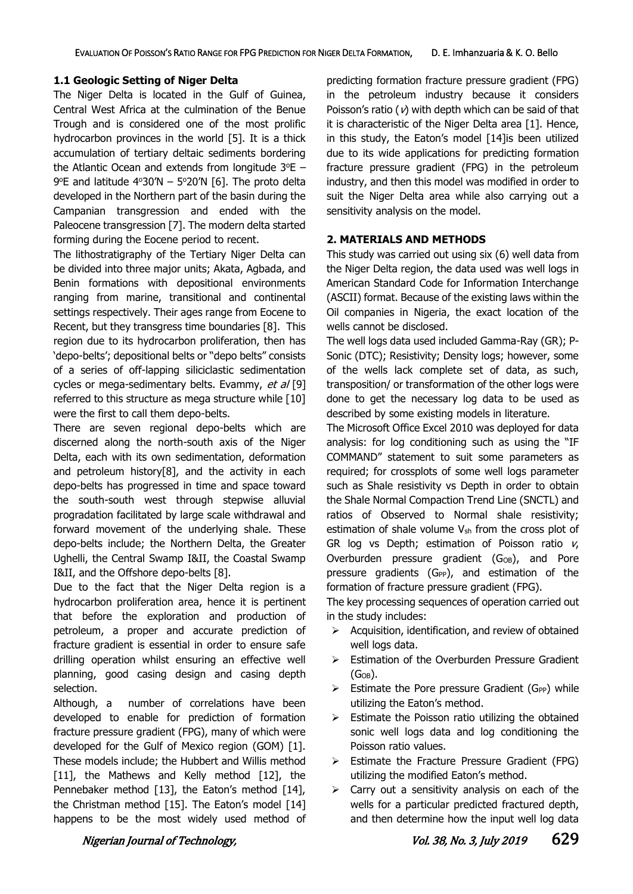#### **1.1 Geologic Setting of Niger Delta**

The Niger Delta is located in the Gulf of Guinea, Central West Africa at the culmination of the Benue Trough and is considered one of the most prolific hydrocarbon provinces in the world [5]. It is a thick accumulation of tertiary deltaic sediments bordering the Atlantic Ocean and extends from longitude  $3^{\circ}E 9^{\circ}$ E and latitude  $4^{\circ}30^{\prime}$ N  $-5^{\circ}20^{\prime}$ N [6]. The proto delta developed in the Northern part of the basin during the Campanian transgression and ended with the Paleocene transgression [7]. The modern delta started forming during the Eocene period to recent.

The lithostratigraphy of the Tertiary Niger Delta can be divided into three major units; Akata, Agbada, and Benin formations with depositional environments ranging from marine, transitional and continental settings respectively. Their ages range from Eocene to Recent, but they transgress time boundaries [8]. This region due to its hydrocarbon proliferation, then has 'depo-belts'; depositional belts or "depo belts" consists of a series of off-lapping siliciclastic sedimentation cycles or mega-sedimentary belts. Evammy, et al [9] referred to this structure as mega structure while [10] were the first to call them depo-belts.

There are seven regional depo-belts which are discerned along the north-south axis of the Niger Delta, each with its own sedimentation, deformation and petroleum history[8], and the activity in each depo-belts has progressed in time and space toward the south-south west through stepwise alluvial progradation facilitated by large scale withdrawal and forward movement of the underlying shale. These depo-belts include; the Northern Delta, the Greater Ughelli, the Central Swamp I&II, the Coastal Swamp I&II, and the Offshore depo-belts [8].

Due to the fact that the Niger Delta region is a hydrocarbon proliferation area, hence it is pertinent that before the exploration and production of petroleum, a proper and accurate prediction of fracture gradient is essential in order to ensure safe drilling operation whilst ensuring an effective well planning, good casing design and casing depth selection.

Although, a number of correlations have been developed to enable for prediction of formation fracture pressure gradient (FPG), many of which were developed for the Gulf of Mexico region (GOM) [1]. These models include; the Hubbert and Willis method [11], the Mathews and Kelly method [12], the Pennebaker method [13], the Eaton's method [14], the Christman method [15]. The Eaton's model [14] happens to be the most widely used method of predicting formation fracture pressure gradient (FPG) in the petroleum industry because it considers Poisson's ratio ( $\nu$ ) with depth which can be said of that it is characteristic of the Niger Delta area [1]. Hence, in this study, the Eaton's model [14]is been utilized due to its wide applications for predicting formation fracture pressure gradient (FPG) in the petroleum industry, and then this model was modified in order to suit the Niger Delta area while also carrying out a sensitivity analysis on the model.

#### **2. MATERIALS AND METHODS**

This study was carried out using six (6) well data from the Niger Delta region, the data used was well logs in American Standard Code for Information Interchange (ASCII) format. Because of the existing laws within the Oil companies in Nigeria, the exact location of the wells cannot be disclosed.

The well logs data used included Gamma-Ray (GR); P-Sonic (DTC); Resistivity; Density logs; however, some of the wells lack complete set of data, as such, transposition/ or transformation of the other logs were done to get the necessary log data to be used as described by some existing models in literature.

The Microsoft Office Excel 2010 was deployed for data analysis: for log conditioning such as using the "IF COMMAND" statement to suit some parameters as required; for crossplots of some well logs parameter such as Shale resistivity vs Depth in order to obtain the Shale Normal Compaction Trend Line (SNCTL) and ratios of Observed to Normal shale resistivity; estimation of shale volume  $V_{sh}$  from the cross plot of GR log vs Depth; estimation of Poisson ratio  $v_i$ Overburden pressure gradient (G<sub>OB</sub>), and Pore pressure gradients (GPP), and estimation of the formation of fracture pressure gradient (FPG).

The key processing sequences of operation carried out in the study includes:

- $\triangleright$  Acquisition, identification, and review of obtained well logs data.
- $\triangleright$  Estimation of the Overburden Pressure Gradient  $(G_{OB})$ .
- $\triangleright$  Estimate the Pore pressure Gradient (G<sub>PP</sub>) while utilizing the Eaton's method.
- $\triangleright$  Estimate the Poisson ratio utilizing the obtained sonic well logs data and log conditioning the Poisson ratio values.
- $\triangleright$  Estimate the Fracture Pressure Gradient (FPG) utilizing the modified Eaton's method.
- $\triangleright$  Carry out a sensitivity analysis on each of the wells for a particular predicted fractured depth, and then determine how the input well log data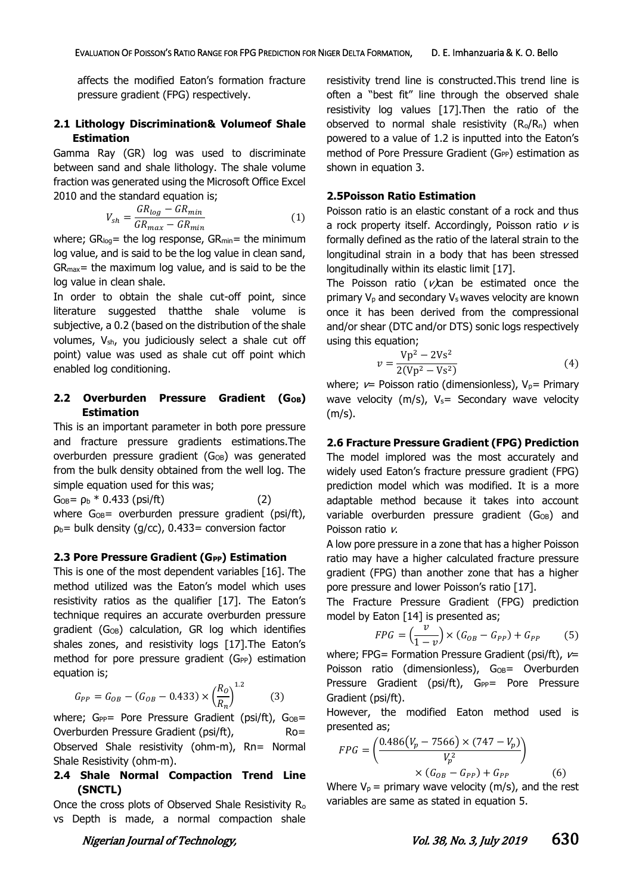affects the modified Eaton's formation fracture pressure gradient (FPG) respectively.

# **2.1 Lithology Discrimination& Volumeof Shale Estimation**

Gamma Ray (GR) log was used to discriminate between sand and shale lithology. The shale volume fraction was generated using the Microsoft Office Excel 2010 and the standard equation is:

$$
V_{sh} = \frac{GR_{log} - GR_{min}}{GR_{max} - GR_{min}} \tag{1}
$$

where;  $GR_{log}$  the log response,  $GR_{min}$  = the minimum log value, and is said to be the log value in clean sand,  $GR_{max}$  the maximum log value, and is said to be the log value in clean shale.

In order to obtain the shale cut-off point, since literature suggested thatthe shale volume is subjective, a 0.2 (based on the distribution of the shale volumes, Vsh, you judiciously select a shale cut off point) value was used as shale cut off point which enabled log conditioning.

# 2.2 Overburden Pressure Gradient (G<sub>OB</sub>) **Estimation**

This is an important parameter in both pore pressure and fracture pressure gradients estimations.The overburden pressure gradient (G<sub>OB</sub>) was generated from the bulk density obtained from the well log. The simple equation used for this was;

 $G<sub>OB</sub> = p<sub>b</sub> * 0.433 (psift)$  (2) where  $G_{OB}$ = overburden pressure gradient (psi/ft),  $p_b$ = bulk density (g/cc), 0.433= conversion factor

#### **2.3 Pore Pressure Gradient (GPP) Estimation**

This is one of the most dependent variables [16]. The method utilized was the Eaton's model which uses resistivity ratios as the qualifier [17]. The Eaton's technique requires an accurate overburden pressure gradient (G<sub>OB</sub>) calculation, GR log which identifies shales zones, and resistivity logs [17].The Eaton's method for pore pressure gradient (GPP) estimation equation is;

$$
G_{PP} = G_{OB} - (G_{OB} - 0.433) \times \left(\frac{R_o}{R_n}\right)^{1.2} \tag{3}
$$

where;  $G_{PP}$ = Pore Pressure Gradient (psi/ft),  $G_{OB}$ = Overburden Pressure Gradient (psi/ft), Ro= Observed Shale resistivity (ohm-m), Rn= Normal Shale Resistivity (ohm-m).

# **2.4 Shale Normal Compaction Trend Line (SNCTL)**

Once the cross plots of Observed Shale Resistivity R<sup>o</sup> vs Depth is made, a normal compaction shale

resistivity trend line is constructed.This trend line is often a "best fit" line through the observed shale resistivity log values [17].Then the ratio of the observed to normal shale resistivity  $(R_0/R_0)$  when powered to a value of 1.2 is inputted into the Eaton's method of Pore Pressure Gradient (GPP) estimation as shown in equation 3.

#### **2.5Poisson Ratio Estimation**

Poisson ratio is an elastic constant of a rock and thus a rock property itself. Accordingly, Poisson ratio  $\nu$  is formally defined as the ratio of the lateral strain to the longitudinal strain in a body that has been stressed longitudinally within its elastic limit [17].

The Poisson ratio ( $v$ ) can be estimated once the primary  $V_p$  and secondary  $V_s$  waves velocity are known once it has been derived from the compressional and/or shear (DTC and/or DTS) sonic logs respectively using this equation;

$$
v = \frac{Vp^2 - 2Vs^2}{2(Vp^2 - Vs^2)}
$$
 (4)

where;  $v=$  Poisson ratio (dimensionless),  $V_p=$  Primary wave velocity ( $m/s$ ), V<sub>s</sub>= Secondary wave velocity (m/s).

### **2.6 Fracture Pressure Gradient (FPG) Prediction**

The model implored was the most accurately and widely used Eaton's fracture pressure gradient (FPG) prediction model which was modified. It is a more adaptable method because it takes into account variable overburden pressure gradient (G<sub>OB</sub>) and Poisson ratio v.

A low pore pressure in a zone that has a higher Poisson ratio may have a higher calculated fracture pressure gradient (FPG) than another zone that has a higher pore pressure and lower Poisson's ratio [17].

The Fracture Pressure Gradient (FPG) prediction model by Eaton [14] is presented as;

$$
FPG = \left(\frac{v}{1-v}\right) \times \left(G_{OB} - G_{PP}\right) + G_{PP} \tag{5}
$$

where; FPG= Formation Pressure Gradient (psi/ft),  $\nu=$ Poisson ratio (dimensionless), G<sub>OB</sub>= Overburden Pressure Gradient (psi/ft), G<sub>PP</sub>= Pore Pressure Gradient (psi/ft).

However, the modified Eaton method used is presented as;

$$
FPG = \left(\frac{0.486(V_p - 7566) \times (747 - V_p)}{V_p^2}\right) \times (G_{OB} - G_{PP}) + G_{PP}
$$
 (6)

Where  $V_p$  = primary wave velocity (m/s), and the rest variables are same as stated in equation 5.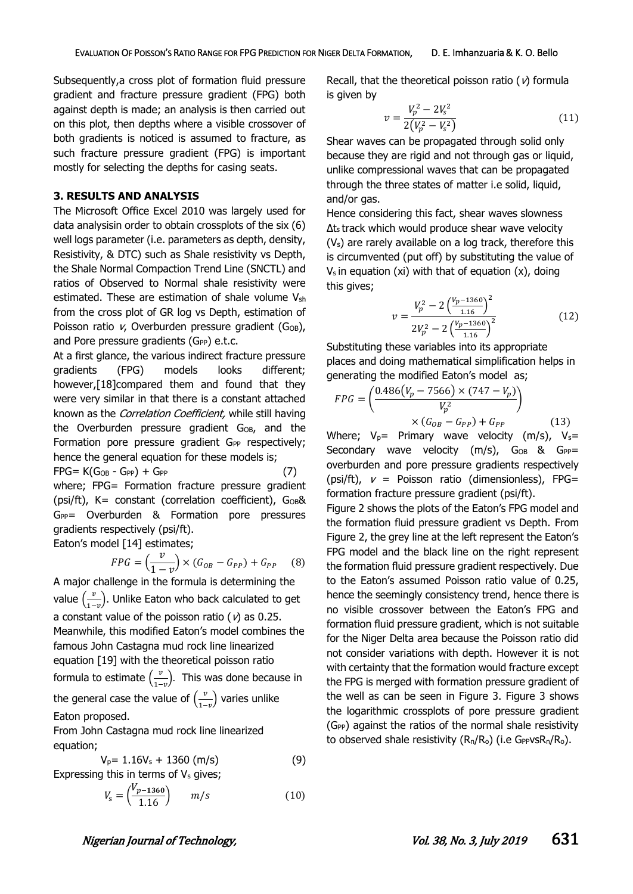Subsequently,a cross plot of formation fluid pressure gradient and fracture pressure gradient (FPG) both against depth is made; an analysis is then carried out on this plot, then depths where a visible crossover of both gradients is noticed is assumed to fracture, as such fracture pressure gradient (FPG) is important mostly for selecting the depths for casing seats.

#### **3. RESULTS AND ANALYSIS**

The Microsoft Office Excel 2010 was largely used for data analysisin order to obtain crossplots of the six (6) well logs parameter (i.e. parameters as depth, density, Resistivity, & DTC) such as Shale resistivity vs Depth, the Shale Normal Compaction Trend Line (SNCTL) and ratios of Observed to Normal shale resistivity were estimated. These are estimation of shale volume V<sub>sh</sub> from the cross plot of GR log vs Depth, estimation of Poisson ratio  $v$ , Overburden pressure gradient (G<sub>OB</sub>), and Pore pressure gradients ( $G_{PP}$ ) e.t.c.

At a first glance, the various indirect fracture pressure gradients (FPG) models looks different; however,[18]compared them and found that they were very similar in that there is a constant attached known as the Correlation Coefficient, while still having the Overburden pressure gradient G<sub>OB</sub>, and the Formation pore pressure gradient GPP respectively; hence the general equation for these models is;  $FPG = K(G_{OB} - G_{PP}) + G_{PP}$  (7)

where; FPG= Formation fracture pressure gradient (psi/ft),  $K =$  constant (correlation coefficient),  $G$ <sub>OB</sub>&  $G_{PP}$ = Overburden & Formation pore pressures gradients respectively (psi/ft).

Eaton's model [14] estimates;

$$
FPG = \left(\frac{v}{1-v}\right) \times \left(G_{OB} - G_{PP}\right) + G_{PP} \tag{8}
$$

A major challenge in the formula is determining the value  $\left(\frac{v}{\epsilon}\right)$  $\frac{v}{1-v}$ ). Unlike Eaton who back calculated to get a constant value of the poisson ratio ( $v$ ) as 0.25. Meanwhile, this modified Eaton's model combines the famous John Castagna mud rock line linearized equation [19] with the theoretical poisson ratio formula to estimate  $\left(\frac{v}{\epsilon}\right)$  $\left(\frac{\nu}{1-\nu}\right)$ . This was done because in the general case the value of  $\left(\frac{v}{\epsilon}\right)$  $\frac{\nu}{1-\nu}$ ) varies unlike Eaton proposed.

From John Castagna mud rock line linearized equation;

$$
V_p = 1.16V_s + 1360 \text{ (m/s)} \tag{9}
$$

Expressing this in terms of  $V_s$  gives;

$$
V_{\rm s} = \left(\frac{V_{p-1360}}{1.16}\right) \qquad m/s \tag{10}
$$

Recall, that the theoretical poisson ratio ( $\nu$ ) formula is given by

$$
v = \frac{V_p^2 - 2V_s^2}{2(V_p^2 - V_s^2)}
$$
(11)

Shear waves can be propagated through solid only because they are rigid and not through gas or liquid, unlike compressional waves that can be propagated through the three states of matter i.e solid, liquid, and/or gas.

Hence considering this fact, shear waves slowness ∆ts track which would produce shear wave velocity (Vs) are rarely available on a log track, therefore this is circumvented (put off) by substituting the value of  $V_s$  in equation (xi) with that of equation (x), doing this gives;

$$
v = \frac{V_p^2 - 2\left(\frac{V_p - 1360}{1.16}\right)^2}{2V_p^2 - 2\left(\frac{V_p - 1360}{1.16}\right)^2}
$$
(12)

Substituting these variables into its appropriate places and doing mathematical simplification helps in generating the modified Eaton's model as;

$$
FPG = \left(\frac{0.486(V_p - 7566) \times (747 - V_p)}{V_p^2}\right) \times (G_{OB} - G_{PP}) + G_{PP}
$$
(13)

Where;  $V_p$ = Primary wave velocity (m/s),  $V_s$ = Secondary wave velocity  $(m/s)$ ,  $G_{OB}$  &  $G_{PP}$ = overburden and pore pressure gradients respectively (psi/ft),  $v =$  Poisson ratio (dimensionless), FPG= formation fracture pressure gradient (psi/ft).

Figure 2 shows the plots of the Eaton's FPG model and the formation fluid pressure gradient vs Depth. From Figure 2, the grey line at the left represent the Eaton's FPG model and the black line on the right represent the formation fluid pressure gradient respectively. Due to the Eaton's assumed Poisson ratio value of 0.25, hence the seemingly consistency trend, hence there is no visible crossover between the Eaton's FPG and formation fluid pressure gradient, which is not suitable for the Niger Delta area because the Poisson ratio did not consider variations with depth. However it is not with certainty that the formation would fracture except the FPG is merged with formation pressure gradient of the well as can be seen in Figure 3. Figure 3 shows the logarithmic crossplots of pore pressure gradient (GPP) against the ratios of the normal shale resistivity to observed shale resistivity  $(R_n/R_o)$  (i.e GPPVs $R_n/R_o$ ).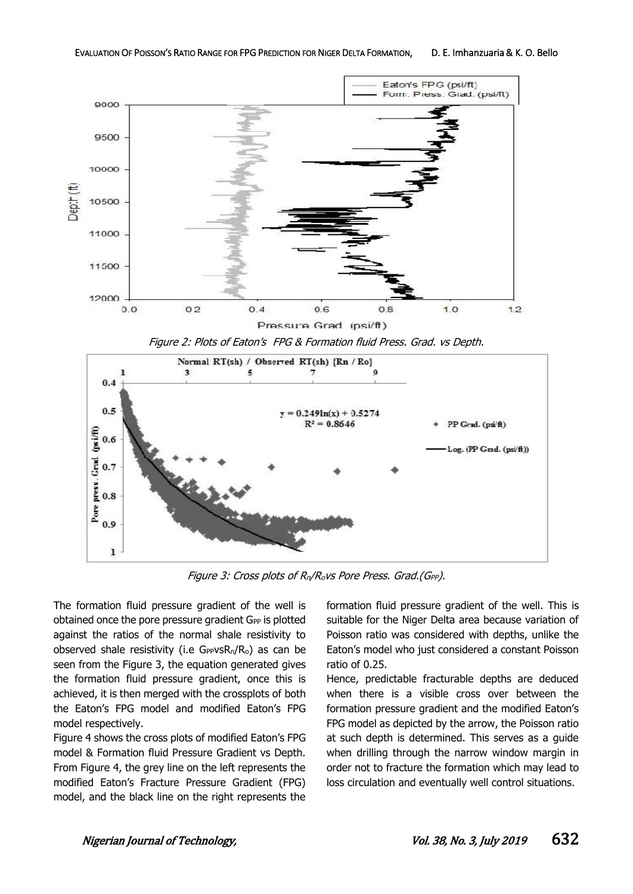

Figure 2: Plots of Eaton's FPG & Formation fluid Press. Grad. vs Depth.



Figure 3: Cross plots of R<sub>n</sub>/R<sub>o</sub>vs Pore Press. Grad.(G<sub>PP</sub>).

The formation fluid pressure gradient of the well is obtained once the pore pressure gradient G<sub>PP</sub> is plotted against the ratios of the normal shale resistivity to observed shale resistivity (i.e  $G_P$ vs $R_n/R_o$ ) as can be seen from the Figure 3, the equation generated gives the formation fluid pressure gradient, once this is achieved, it is then merged with the crossplots of both the Eaton's FPG model and modified Eaton's FPG model respectively.

Figure 4 shows the cross plots of modified Eaton's FPG model & Formation fluid Pressure Gradient vs Depth. From Figure 4, the grey line on the left represents the modified Eaton's Fracture Pressure Gradient (FPG) model, and the black line on the right represents the

formation fluid pressure gradient of the well. This is suitable for the Niger Delta area because variation of Poisson ratio was considered with depths, unlike the Eaton's model who just considered a constant Poisson ratio of 0.25.

Hence, predictable fracturable depths are deduced when there is a visible cross over between the formation pressure gradient and the modified Eaton's FPG model as depicted by the arrow, the Poisson ratio at such depth is determined. This serves as a guide when drilling through the narrow window margin in order not to fracture the formation which may lead to loss circulation and eventually well control situations.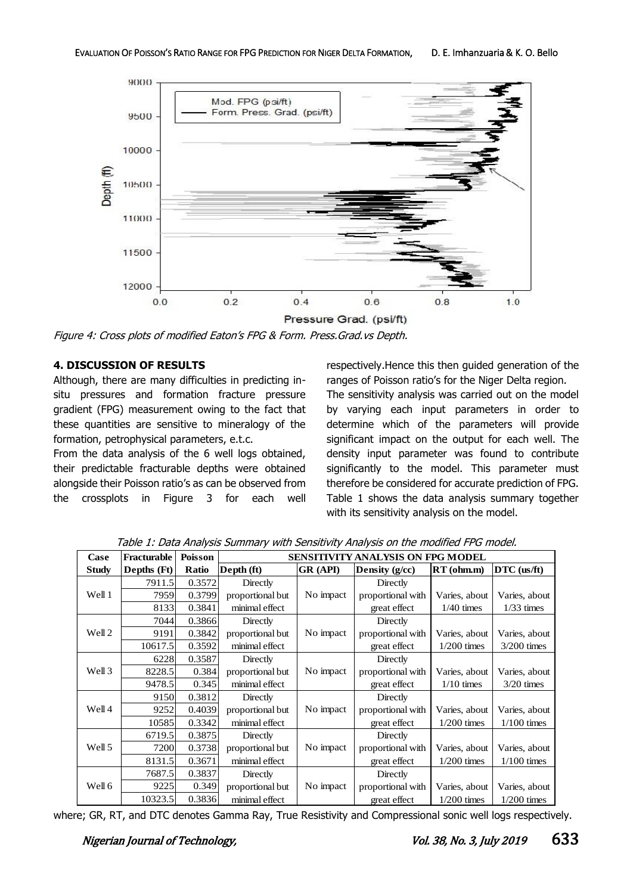

Figure 4: Cross plots of modified Eaton's FPG & Form. Press.Grad.vs Depth.

# **4. DISCUSSION OF RESULTS**

Although, there are many difficulties in predicting insitu pressures and formation fracture pressure gradient (FPG) measurement owing to the fact that these quantities are sensitive to mineralogy of the formation, petrophysical parameters, e.t.c.

From the data analysis of the 6 well logs obtained, their predictable fracturable depths were obtained alongside their Poisson ratio's as can be observed from the crossplots in Figure 3 for each well

respectively.Hence this then guided generation of the ranges of Poisson ratio's for the Niger Delta region. The sensitivity analysis was carried out on the model by varying each input parameters in order to determine which of the parameters will provide significant impact on the output for each well. The density input parameter was found to contribute significantly to the model. This parameter must therefore be considered for accurate prediction of FPG. Table 1 shows the data analysis summary together with its sensitivity analysis on the model.

| Case         | Fracturable | <b>Poisson</b> | <b>SENSITIVITY ANALYSIS ON FPG MODEL</b> |                 |                   |               |               |
|--------------|-------------|----------------|------------------------------------------|-----------------|-------------------|---------------|---------------|
| <b>Study</b> | Depths (Ft) | Ratio          | Depth (ft)                               | <b>GR</b> (API) | Density (g/cc)    | RT(ohm.m)     | DTC (us/ft)   |
| Well 1       | 7911.5      | 0.3572         | Directly                                 |                 | Directly          |               |               |
|              | 7959        | 0.3799         | proportional but                         | No impact       | proportional with | Varies, about | Varies, about |
|              | 8133        | 0.3841         | minimal effect                           |                 | great effect      | $1/40$ times  | $1/33$ times  |
| Well 2       | 7044        | 0.3866         | Directly                                 |                 | Directly          |               |               |
|              | 9191        | 0.3842         | proportional but                         | No impact       | proportional with | Varies, about | Varies, about |
|              | 10617.5     | 0.3592         | minimal effect                           |                 | great effect      | $1/200$ times | $3/200$ times |
| Well 3       | 6228        | 0.3587         | Directly                                 |                 | Directly          |               |               |
|              | 8228.5      | 0.384          | proportional but                         | No impact       | proportional with | Varies, about | Varies, about |
|              | 9478.5      | 0.345          | minimal effect                           |                 | great effect      | $1/10$ times  | $3/20$ times  |
| Well 4       | 9150        | 0.3812         | Directly                                 |                 | Directly          |               |               |
|              | 9252        | 0.4039         | proportional but                         | No impact       | proportional with | Varies, about | Varies, about |
|              | 10585       | 0.3342         | minimal effect                           |                 | great effect      | $1/200$ times | $1/100$ times |
| Well 5       | 6719.5      | 0.3875         | Directly                                 |                 | Directly          |               |               |
|              | 7200        | 0.3738         | proportional but                         | No impact       | proportional with | Varies, about | Varies, about |
|              | 8131.5      | 0.3671         | minimal effect                           |                 | great effect      | $1/200$ times | $1/100$ times |
| Well 6       | 7687.5      | 0.3837         | Directly                                 |                 | Directly          |               |               |
|              | 9225        | 0.349          | proportional but                         | No impact       | proportional with | Varies, about | Varies, about |
|              | 10323.5     | 0.3836         | minimal effect                           |                 | great effect      | $1/200$ times | $1/200$ times |

Table 1: Data Analysis Summary with Sensitivity Analysis on the modified FPG model.

where; GR, RT, and DTC denotes Gamma Ray, True Resistivity and Compressional sonic well logs respectively.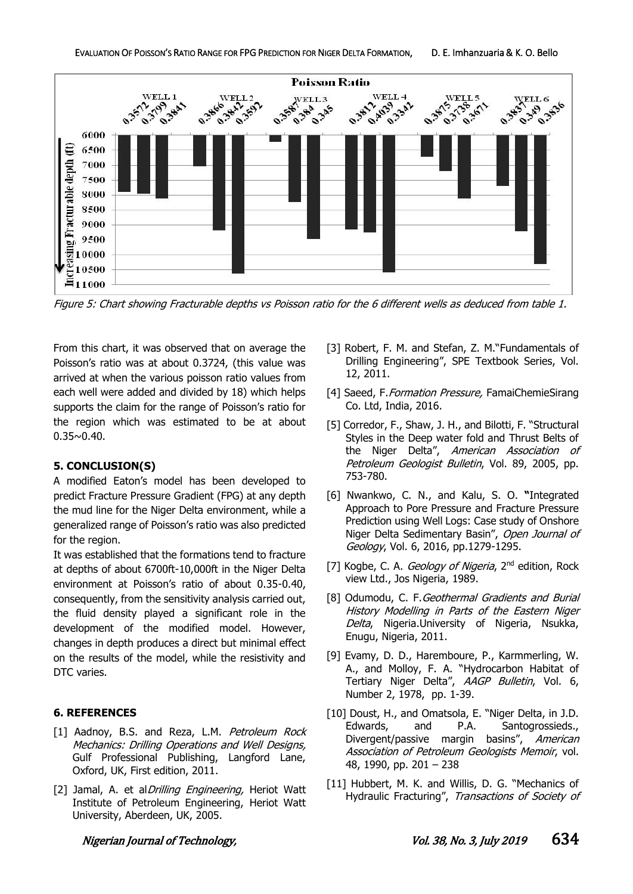

Figure 5: Chart showing Fracturable depths vs Poisson ratio for the 6 different wells as deduced from table 1.

From this chart, it was observed that on average the Poisson's ratio was at about 0.3724, (this value was arrived at when the various poisson ratio values from each well were added and divided by 18) which helps supports the claim for the range of Poisson's ratio for the region which was estimated to be at about  $0.35 \sim 0.40$ .

### **5. CONCLUSION(S)**

A modified Eaton's model has been developed to predict Fracture Pressure Gradient (FPG) at any depth the mud line for the Niger Delta environment, while a generalized range of Poisson's ratio was also predicted for the region.

It was established that the formations tend to fracture at depths of about 6700ft-10,000ft in the Niger Delta environment at Poisson's ratio of about 0.35-0.40, consequently, from the sensitivity analysis carried out, the fluid density played a significant role in the development of the modified model. However, changes in depth produces a direct but minimal effect on the results of the model, while the resistivity and DTC varies.

# **6. REFERENCES**

- [1] Aadnoy, B.S. and Reza, L.M. Petroleum Rock Mechanics: Drilling Operations and Well Designs, Gulf Professional Publishing, Langford Lane, Oxford, UK, First edition, 2011.
- [2] Jamal, A. et al *Drilling Engineering*, Heriot Watt Institute of Petroleum Engineering, Heriot Watt University, Aberdeen, UK, 2005.
- [3] Robert, F. M. and Stefan, Z. M."Fundamentals of Drilling Engineering", SPE Textbook Series, Vol. 12, 2011.
- [4] Saeed, F. Formation Pressure, FamaiChemieSirang Co. Ltd, India, 2016.
- [5] Corredor, F., Shaw, J. H., and Bilotti, F. "Structural Styles in the Deep water fold and Thrust Belts of the Niger Delta", American Association of Petroleum Geologist Bulletin, Vol. 89, 2005, pp. 753-780.
- [6] Nwankwo, C. N., and Kalu, S. O. **"**Integrated Approach to Pore Pressure and Fracture Pressure Prediction using Well Logs: Case study of Onshore Niger Delta Sedimentary Basin", Open Journal of Geology, Vol. 6, 2016, pp.1279-1295.
- [7] Kogbe, C. A. *Geology of Nigeria*, 2<sup>nd</sup> edition, Rock view Ltd., Jos Nigeria, 1989.
- [8] Odumodu, C. F. Geothermal Gradients and Burial History Modelling in Parts of the Eastern Niger Delta, Nigeria.University of Nigeria, Nsukka, Enugu, Nigeria, 2011.
- [9] Evamy, D. D., Haremboure, P., Karmmerling, W. A., and Molloy, F. A. "Hydrocarbon Habitat of Tertiary Niger Delta", AAGP Bulletin, Vol. 6, Number 2, 1978, pp. 1-39.
- [10] Doust, H., and Omatsola, E. "Niger Delta, in J.D. Edwards, and P.A. Santogrossieds., Divergent/passive margin basins", American Association of Petroleum Geologists Memoir, vol. 48, 1990, pp. 201 – 238
- [11] Hubbert, M. K. and Willis, D. G. "Mechanics of Hydraulic Fracturing", Transactions of Society of